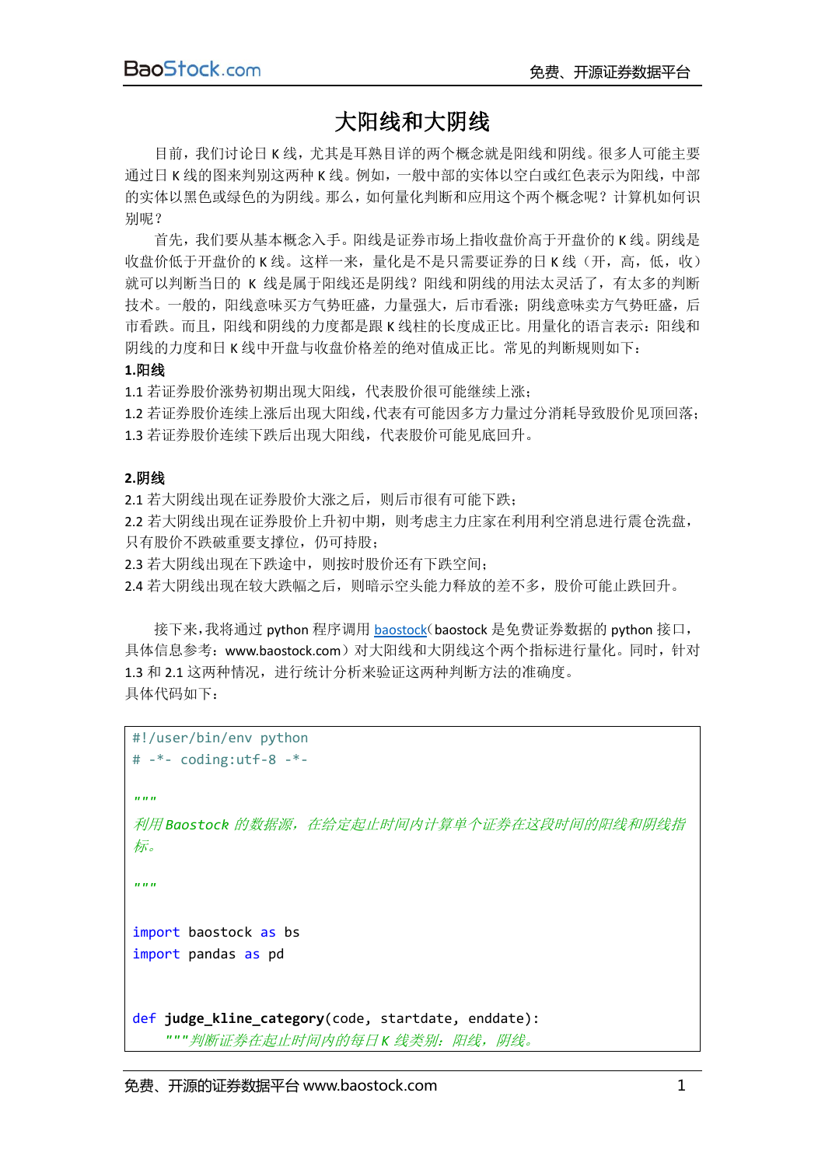## 大阳线和大阴线

目前,我们讨论日 K 线,尤其是耳熟目详的两个概念就是阳线和阴线。很多人可能主要 通过日 K 线的图来判别这两种 K 线。例如,一般中部的实体以空白或红色表示为阳线,中部 的实体以黑色或绿色的为阴线。那么,如何量化判断和应用这个两个概念呢?计算机如何识 别呢?

首先,我们要从基本概念入手。阳线是证券市场上指收盘价高于开盘价的 K 线。阴线是 收盘价低于开盘价的 K 线。这样一来,量化是不是只需要证券的日 K 线(开,高,低,收) 就可以判断当日的 K 线是属于阳线还是阴线?阳线和阴线的用法太灵活了,有太多的判断 技术。一般的,阳线意味买方气势旺盛,力量强大,后市看涨;阴线意味卖方气势旺盛,后 市看跌。而且,阳线和阴线的力度都是跟 K 线柱的长度成正比。用量化的语言表示:阳线和 阴线的力度和日 K 线中开盘与收盘价格差的绝对值成正比。常见的判断规则如下:

#### **1.**阳线

1.1 若证券股价涨势初期出现大阳线,代表股价很可能继续上涨; 1.2 若证券股价连续上涨后出现大阳线,代表有可能因多方力量过分消耗导致股价见顶回落; 1.3 若证券股价连续下跌后出现大阳线,代表股价可能见底回升。

### **2.**阴线

2.1 若大阴线出现在证券股价大涨之后,则后市很有可能下跌; 2.2 若大阴线出现在证券股价上升初中期,则考虑主力庄家在利用利空消息进行震仓洗盘, 只有股价不跌破重要支撑位,仍可持股;

2.3 若大阴线出现在下跌途中,则按时股价还有下跌空间;

2.4 若大阴线出现在较大跌幅之后,则暗示空头能力释放的差不多,股价可能止跌回升。

接下来,我将通过 python 程序调用 [baostock](http://www.baostock.com/)(baostock 是免费证券数据的 python 接口, 具体信息参考:www.baostock.com)对大阳线和大阴线这个两个指标进行量化。同时,针对 1.3 和 2.1 这两种情况,进行统计分析来验证这两种判断方法的准确度。 具体代码如下:

```
#!/user/bin/env python
# -*- coding:utf-8 -*-
"""
利用 Baostock 的数据源,在给定起止时间内计算单个证券在这段时间的阳线和阴线指
标。
"""
import baostock as bs
import pandas as pd
def judge kline category(code, startdate, enddate):
    """判断证券在起止时间内的每日 K 线类别:阳线,阴线。
```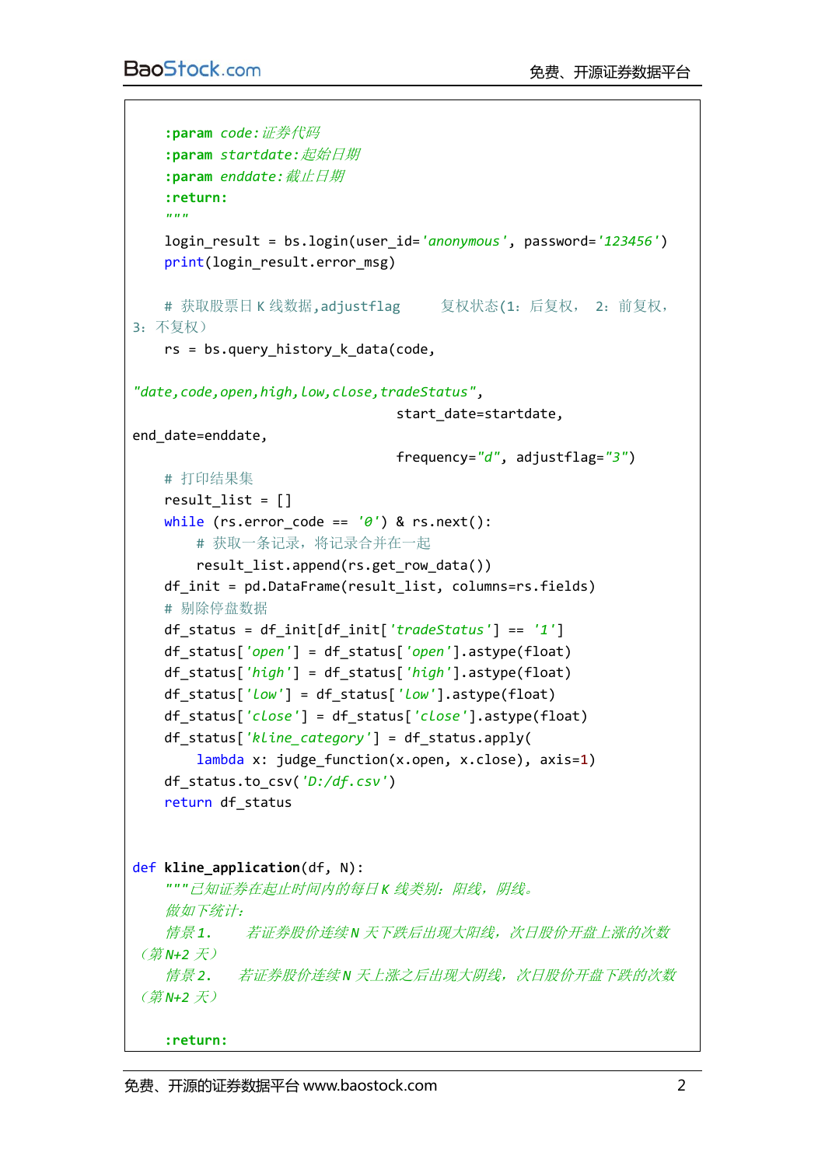```
 :param code:证券代码
    :param startdate:起始日期
    :param enddate:截止日期
    :return:
    """
    login_result = bs.login(user_id='anonymous', password='123456')
    print(login_result.error_msg)
   # 获取股票日 K 线数据, adjustflag   复权状态(1: 后复权, 2: 前复权,
3:不复权)
    rs = bs.query_history_k_data(code,
"date,code,open,high,low,close,tradeStatus",
                               start_date=startdate, 
end_date=enddate,
                               frequency="d", adjustflag="3")
    # 打印结果集
   result list = []
    while (rs.error_code == '0') & rs.next():
        # 获取一条记录,将记录合并在一起
        result_list.append(rs.get_row_data())
    df_init = pd.DataFrame(result_list, columns=rs.fields)
    # 剔除停盘数据
    df_status = df_init[df_init['tradeStatus'] == '1']
    df_status['open'] = df_status['open'].astype(float)
    df_status['high'] = df_status['high'].astype(float)
    df_status['low'] = df_status['low'].astype(float)
    df_status['close'] = df_status['close'].astype(float)
    df_status['kline_category'] = df_status.apply(
        lambda x: judge_function(x.open, x.close), axis=1)
    df_status.to_csv('D:/df.csv')
    return df_status
def kline_application(df, N):
    """已知证券在起止时间内的每日 K 线类别:阳线,阴线。
    做如下统计:
    情景 1. 若证券股价连续 N 天下跌后出现大阳线,次日股价开盘上涨的次数
(第 N+2 天)
    情景 2. 若证券股价连续 N 天上涨之后出现大阴线,次日股价开盘下跌的次数
(第 N+2 天)
```
**:return:**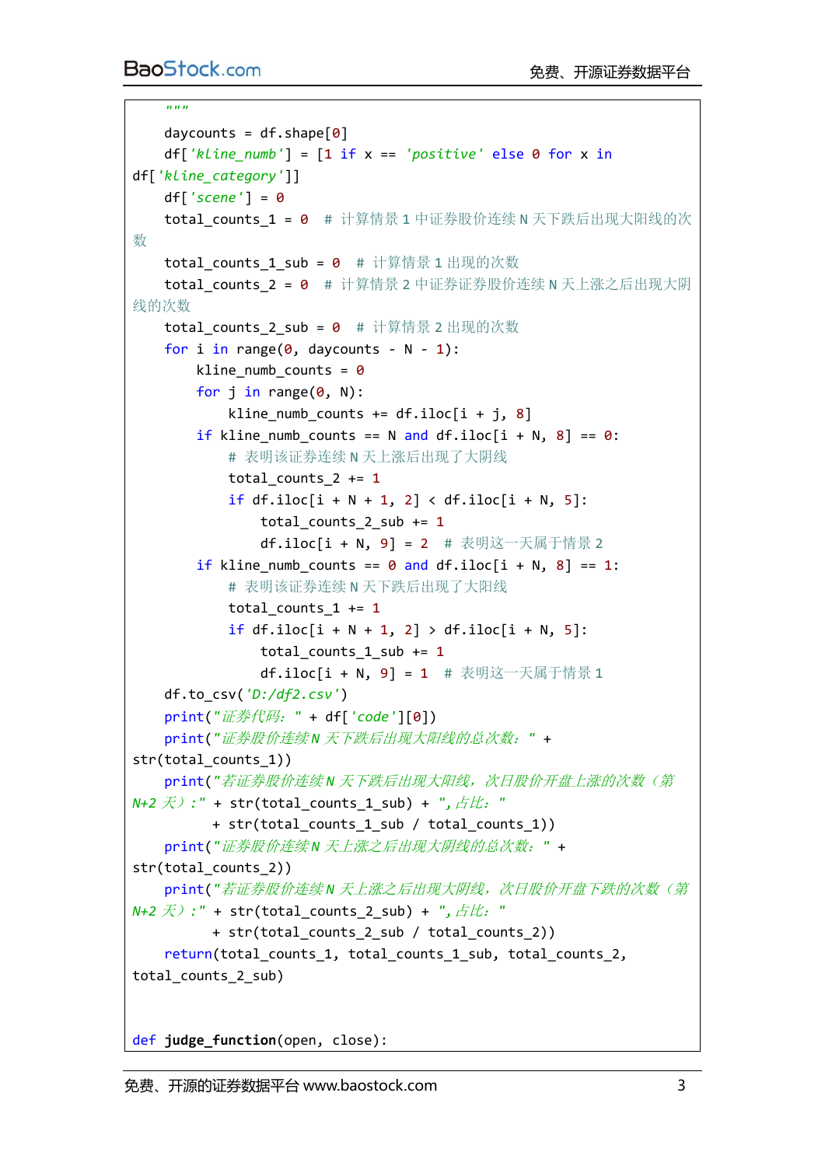*"""*

```
daycounts = df.shape[0] df['kline_numb'] = [1 if x == 'positive' else 0 for x in
df['kline_category']]
    df['scene'] = 0
   total counts 1 = 0 # 计算情景 1 中证券股价连续 N 天下跌后出现大阳线的次
数
    total_counts_1_sub = 0 # 计算情景 1 出现的次数
   total counts 2 = 0 # 计算情景 2 中证券证券股价连续 N 天上涨之后出现大阴
线的次数
   total counts 2 sub = \theta # 计算情景 2 出现的次数
   for i in range(\theta, daycounts - N - 1):
       kline_numb_counts = 0for i in range(\theta, N):
           kline numb counts += df.iloc[i + j, 8]if kline numb counts == N and df.iloc[i + N, 8] == 0:
           # 表明该证券连续 N 天上涨后出现了大阴线
          total counts 2 += 1if df.iloc[i + N + 1, 2] < df.iloc[i + N, 5]:
               total_counts_2_sub += 1
               df.iloc[i + N, 9] = 2 # 表明这一天属于情景 2
       if kline_numb_counts == \theta and df.iloc[i + N, 8] == 1:
           # 表明该证券连续 N 天下跌后出现了大阳线
          total counts 1 += 1if df.iloc[i + N + 1, 2] > df.iloc[i + N, 5]:
              total counts 1 sub += 1df.iloc[i + N, 9] = 1 # 表明这一天属于情景 1
    df.to_csv('D:/df2.csv')
    print("证券代码:" + df['code'][0])
    print("证券股价连续 N 天下跌后出现大阳线的总次数:" + 
str(total_counts_1))
    print("若证券股价连续 N 天下跌后出现大阳线,次日股价开盘上涨的次数(第
N+2 天):" + str(total_counts_1_sub) + ",占比:"
          + str(total_counts_1_sub / total_counts_1))
    print("证券股价连续 N 天上涨之后出现大阴线的总次数:" + 
str(total_counts_2))
    print("若证券股价连续 N 天上涨之后出现大阴线,次日股价开盘下跌的次数(第
N+2 天):" + str(total_counts_2_sub) + ",占比:"
          + str(total_counts_2_sub / total_counts_2))
   return(total counts 1, total counts 1 sub, total counts 2,
total_counts_2_sub)
```
def **judge\_function**(open, close):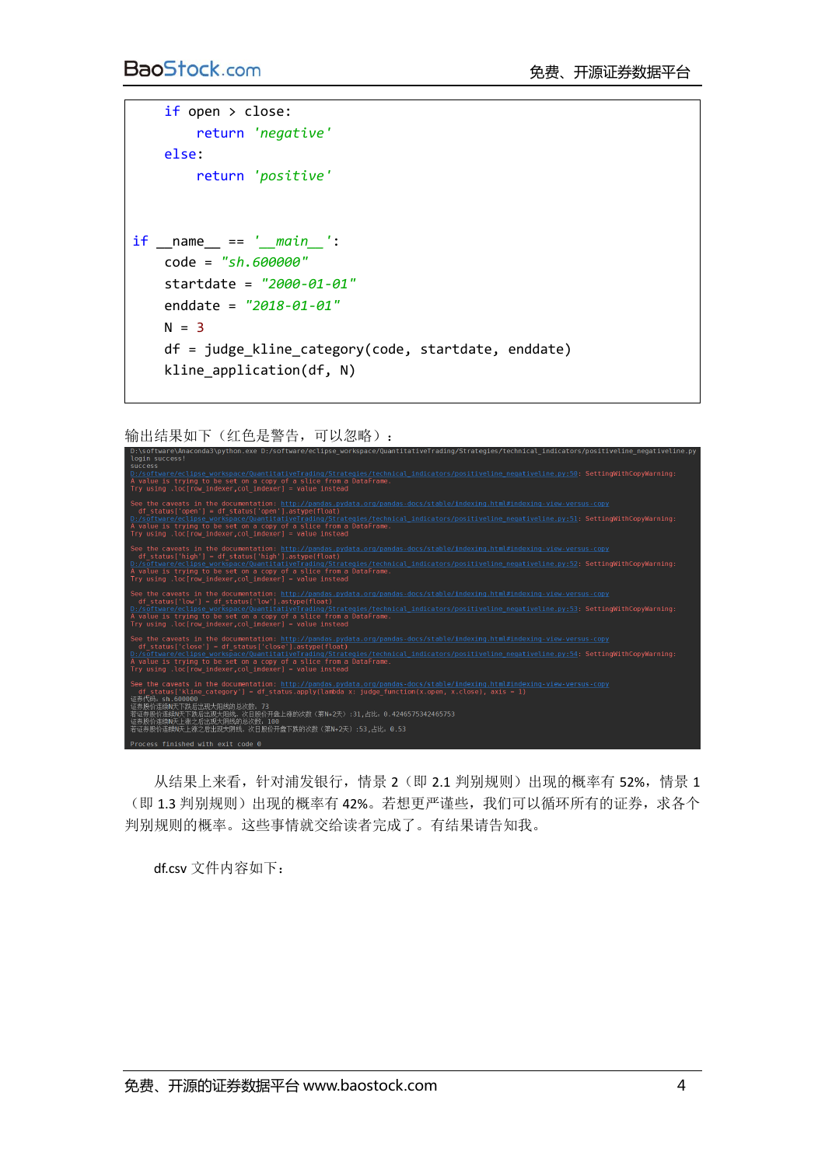```
 if open > close:
         return 'negative'
     else:
        return 'positive'
if __name__ == '__main__':
    code = "sh.600000"
    startdate = "2000-01-01"
    enddate = "2018-01-01"
   N = 3 df = judge_kline_category(code, startdate, enddate)
     kline_application(df, N)
```
输出结果如下(红色是警告,可以忽略):

| login success!<br><b>success</b><br>D:/software/eclipse workspace/QuantitativeTrading/Strategies/technical indicators/positiveline negativeline.py:50: SettingWithCopyWarning:<br>A value is trying to be set on a copy of a slice from a DataFrame.<br>Try using .loc[row indexer, col indexer] = value instead                                                                                                                                                  |
|-------------------------------------------------------------------------------------------------------------------------------------------------------------------------------------------------------------------------------------------------------------------------------------------------------------------------------------------------------------------------------------------------------------------------------------------------------------------|
| See the caveats in the documentation: http://pandas.pvdata.org/pandas-docs/stable/indexing.html#indexing-view-versus-copy<br>df status['open'] = df status['open'].astype(float)<br>D:/software/eclipse workspace/QuantitativeTrading/Strategies/technical indicators/positiveline negativeline.py:51: SettingWithCopyWarning:<br>A value is trying to be set on a copy of a slice from a DataFrame.<br>Try using .loc[row indexer, col indexer] = value instead  |
| See the caveats in the documentation: http://pandas.pydata.org/pandas-docs/stable/indexing.html#indexing-view-versus-copy<br>df status['high'] = df status['high'].astype(float)<br>D:/software/eclipse workspace/QuantitativeTrading/Strategies/technical indicators/positiveline negativeline.py:52: SettingWithCopyWarning:<br>A value is trying to be set on a copy of a slice from a DataFrame.<br>Try using .loc[row indexer.col indexer] = value instead   |
| See the caveats in the documentation: http://pandas.pydata.org/pandas-docs/stable/indexing.html#indexing-view-versus-copy<br>df status['low'] = df status['low'].astype(float)<br>D:/software/eclipse workspace/QuantitativeTrading/Strategies/technical indicators/positiveline negativeline.py:53: SettingWithCopyWarning:<br>A value is trying to be set on a copy of a slice from a DataFrame.<br>Try using .loc[row indexer, col indexer] = value instead    |
| See the caveats in the documentation: http://pandas.pydata.org/pandas-docs/stable/indexing.html#indexing-view-versus-copy<br>df status['close'] = df status['close'].astype(float)<br>D:/software/eclipse workspace/QuantitativeTrading/Strategies/technical indicators/positiveline negativeline.py:54: SettingWithCopyWarning:<br>A value is trying to be set on a copy of a slice from a DataFrame.<br>Try using .loc[row indexer,col indexer] = value instead |
| See the caveats in the documentation: http://pandas.pydata.org/pandas-docs/stable/indexing.html#indexing-view-versus-copy<br>df status['kline category'] = df status.apply(lambda x: judge function(x.open, x.close), axis = 1)<br>证券代码: sh.600000<br>证券股价连续N天下跌后出现大阳线的总次数: 73<br>若证券股价连续N天下跌后出现大阳线,次日股价开盘上涨的次数(第N+2天): 31 , 占比,0 . 4246575342465753<br>证券股价连续N天上涨之后出现大阴线的总次数,100<br>若证券股价连续N天上涨之后出现大阴线,次日股价开盘下跌的次数(第N+2天):53,占比: 0.53                            |
| Process finished with exit code 0                                                                                                                                                                                                                                                                                                                                                                                                                                 |

从结果上来看,针对浦发银行,情景 2(即 2.1 判别规则)出现的概率有 52%, 情景 1 (即 1.3 判别规则)出现的概率有 42%。若想更严谨些,我们可以循环所有的证券,求各个 判别规则的概率。这些事情就交给读者完成了。有结果请告知我。

df.csv 文件内容如下: